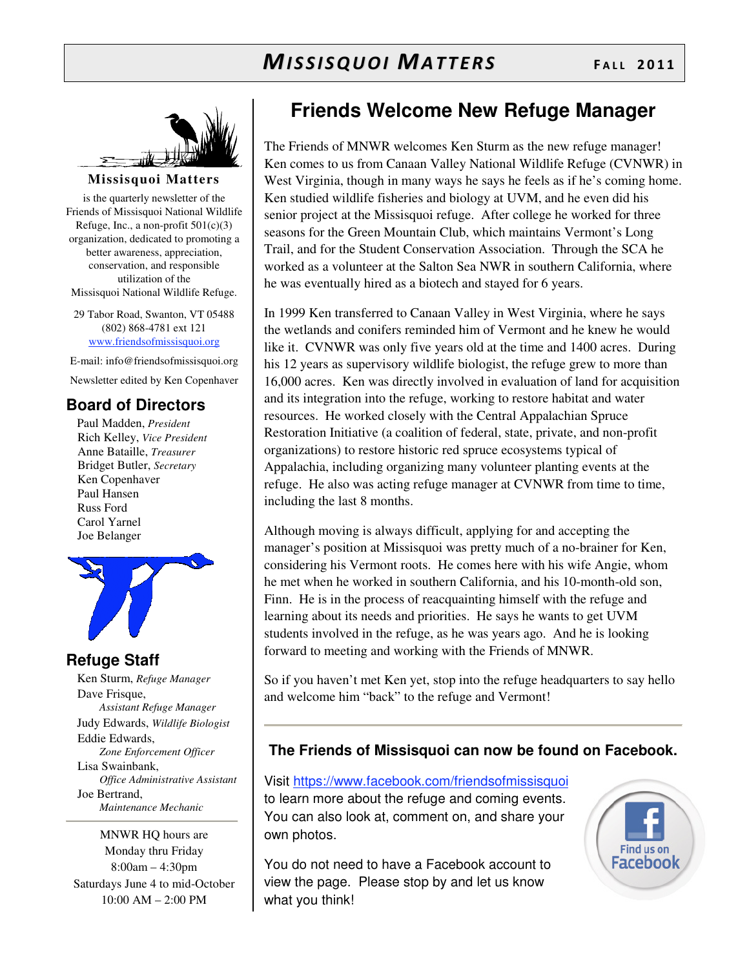

**Missisquoi Matters** 

is the quarterly newsletter of the Friends of Missisquoi National Wildlife Refuge, Inc., a non-profit  $501(c)(3)$ organization, dedicated to promoting a better awareness, appreciation, conservation, and responsible utilization of the Missisquoi National Wildlife Refuge.

29 Tabor Road, Swanton, VT 05488 (802) 868-4781 ext 121 www.friendsofmissisquoi.org

E-mail: info@friendsofmissisquoi.org

Newsletter edited by Ken Copenhaver

#### **Board of Directors**

Paul Madden, *President* Rich Kelley, *Vice President* Anne Bataille, *Treasurer* Bridget Butler, *Secretary* Ken Copenhaver Paul Hansen Russ Ford Carol Yarnel Joe Belanger



#### **Refuge Staff**

Ken Sturm, *Refuge Manager* Dave Frisque, *Assistant Refuge Manager* Judy Edwards, *Wildlife Biologist* Eddie Edwards, *Zone Enforcement Officer* Lisa Swainbank, *Office Administrative Assistant*  Joe Bertrand, *Maintenance Mechanic*

MNWR HQ hours are Monday thru Friday 8:00am – 4:30pm Saturdays June 4 to mid-October 10:00 AM – 2:00 PM

### **Friends Welcome New Refuge Manager**

The Friends of MNWR welcomes Ken Sturm as the new refuge manager! Ken comes to us from Canaan Valley National Wildlife Refuge (CVNWR) in West Virginia, though in many ways he says he feels as if he's coming home. Ken studied wildlife fisheries and biology at UVM, and he even did his senior project at the Missisquoi refuge. After college he worked for three seasons for the Green Mountain Club, which maintains Vermont's Long Trail, and for the Student Conservation Association. Through the SCA he worked as a volunteer at the Salton Sea NWR in southern California, where he was eventually hired as a biotech and stayed for 6 years.

In 1999 Ken transferred to Canaan Valley in West Virginia, where he says the wetlands and conifers reminded him of Vermont and he knew he would like it. CVNWR was only five years old at the time and 1400 acres. During his 12 years as supervisory wildlife biologist, the refuge grew to more than 16,000 acres. Ken was directly involved in evaluation of land for acquisition and its integration into the refuge, working to restore habitat and water resources. He worked closely with the Central Appalachian Spruce Restoration Initiative (a coalition of federal, state, private, and non-profit organizations) to restore historic red spruce ecosystems typical of Appalachia, including organizing many volunteer planting events at the refuge. He also was acting refuge manager at CVNWR from time to time, including the last 8 months.

Although moving is always difficult, applying for and accepting the manager's position at Missisquoi was pretty much of a no-brainer for Ken, considering his Vermont roots. He comes here with his wife Angie, whom he met when he worked in southern California, and his 10-month-old son, Finn. He is in the process of reacquainting himself with the refuge and learning about its needs and priorities. He says he wants to get UVM students involved in the refuge, as he was years ago. And he is looking forward to meeting and working with the Friends of MNWR.

So if you haven't met Ken yet, stop into the refuge headquarters to say hello and welcome him "back" to the refuge and Vermont!

#### **The Friends of Missisquoi can now be found on Facebook.**

Visit https://www.facebook.com/friendsofmissisquoi to learn more about the refuge and coming events. You can also look at, comment on, and share your own photos.

You do not need to have a Facebook account to view the page. Please stop by and let us know what you think!

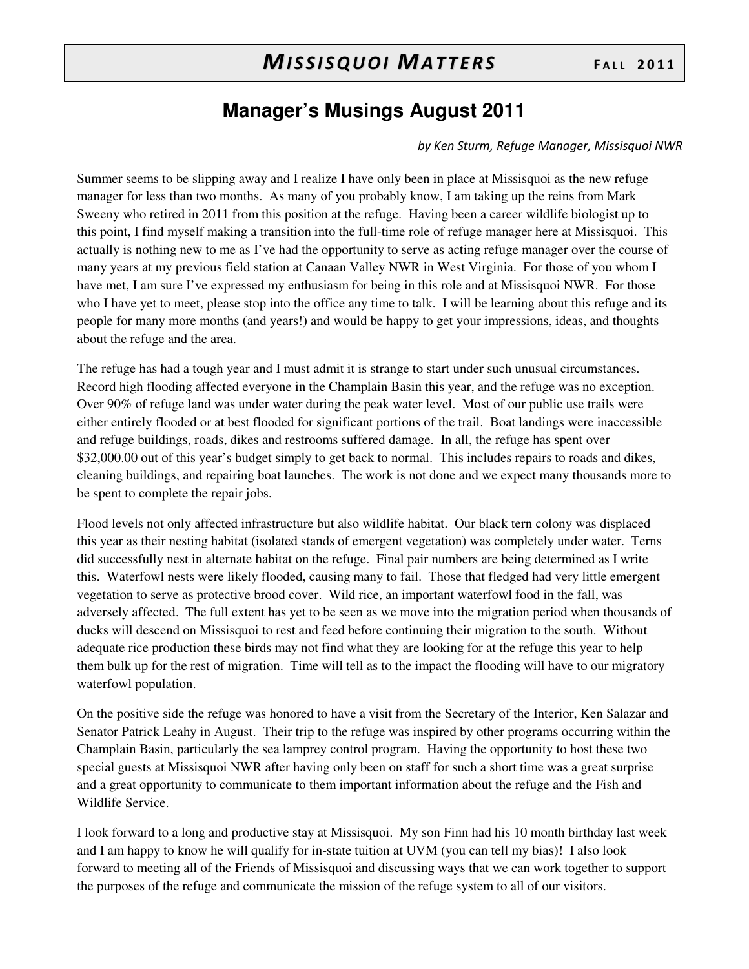### **Manager's Musings August 2011**

#### by Ken Sturm, Refuge Manager, Missisguoi NWR

Summer seems to be slipping away and I realize I have only been in place at Missisquoi as the new refuge manager for less than two months. As many of you probably know, I am taking up the reins from Mark Sweeny who retired in 2011 from this position at the refuge. Having been a career wildlife biologist up to this point, I find myself making a transition into the full-time role of refuge manager here at Missisquoi. This actually is nothing new to me as I've had the opportunity to serve as acting refuge manager over the course of many years at my previous field station at Canaan Valley NWR in West Virginia. For those of you whom I have met, I am sure I've expressed my enthusiasm for being in this role and at Missisquoi NWR. For those who I have yet to meet, please stop into the office any time to talk. I will be learning about this refuge and its people for many more months (and years!) and would be happy to get your impressions, ideas, and thoughts about the refuge and the area.

The refuge has had a tough year and I must admit it is strange to start under such unusual circumstances. Record high flooding affected everyone in the Champlain Basin this year, and the refuge was no exception. Over 90% of refuge land was under water during the peak water level. Most of our public use trails were either entirely flooded or at best flooded for significant portions of the trail. Boat landings were inaccessible and refuge buildings, roads, dikes and restrooms suffered damage. In all, the refuge has spent over \$32,000.00 out of this year's budget simply to get back to normal. This includes repairs to roads and dikes, cleaning buildings, and repairing boat launches. The work is not done and we expect many thousands more to be spent to complete the repair jobs.

Flood levels not only affected infrastructure but also wildlife habitat. Our black tern colony was displaced this year as their nesting habitat (isolated stands of emergent vegetation) was completely under water. Terns did successfully nest in alternate habitat on the refuge. Final pair numbers are being determined as I write this. Waterfowl nests were likely flooded, causing many to fail. Those that fledged had very little emergent vegetation to serve as protective brood cover. Wild rice, an important waterfowl food in the fall, was adversely affected. The full extent has yet to be seen as we move into the migration period when thousands of ducks will descend on Missisquoi to rest and feed before continuing their migration to the south. Without adequate rice production these birds may not find what they are looking for at the refuge this year to help them bulk up for the rest of migration. Time will tell as to the impact the flooding will have to our migratory waterfowl population.

On the positive side the refuge was honored to have a visit from the Secretary of the Interior, Ken Salazar and Senator Patrick Leahy in August. Their trip to the refuge was inspired by other programs occurring within the Champlain Basin, particularly the sea lamprey control program. Having the opportunity to host these two special guests at Missisquoi NWR after having only been on staff for such a short time was a great surprise and a great opportunity to communicate to them important information about the refuge and the Fish and Wildlife Service.

I look forward to a long and productive stay at Missisquoi. My son Finn had his 10 month birthday last week and I am happy to know he will qualify for in-state tuition at UVM (you can tell my bias)! I also look forward to meeting all of the Friends of Missisquoi and discussing ways that we can work together to support the purposes of the refuge and communicate the mission of the refuge system to all of our visitors.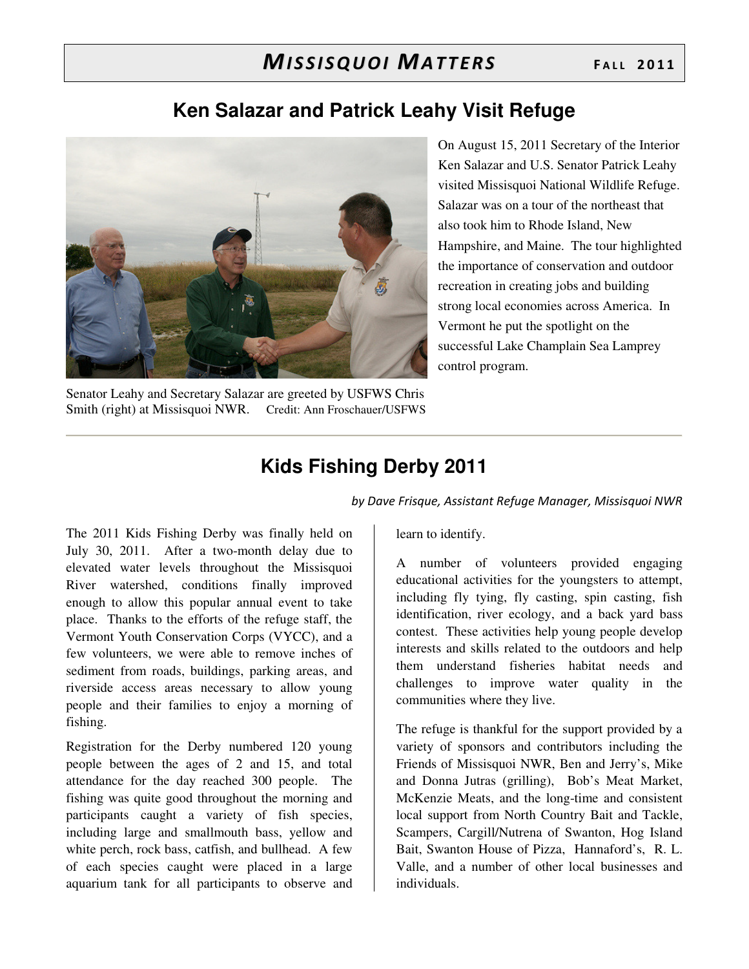## MISSISQUOI MATTERS FALL 2011

#### **Ken Salazar and Patrick Leahy Visit Refuge**



On August 15, 2011 Secretary of the Interior Ken Salazar and U.S. Senator Patrick Leahy visited Missisquoi National Wildlife Refuge. Salazar was on a tour of the northeast that also took him to Rhode Island, New Hampshire, and Maine. The tour highlighted the importance of conservation and outdoor recreation in creating jobs and building strong local economies across America. In Vermont he put the spotlight on the successful Lake Champlain Sea Lamprey control program.

Senator Leahy and Secretary Salazar are greeted by USFWS Chris Smith (right) at Missisquoi NWR. Credit: Ann Froschauer/USFWS

## **Kids Fishing Derby 2011**

by Dave Frisque, Assistant Refuge Manager, Missisquoi NWR

The 2011 Kids Fishing Derby was finally held on July 30, 2011. After a two-month delay due to elevated water levels throughout the Missisquoi River watershed, conditions finally improved enough to allow this popular annual event to take place. Thanks to the efforts of the refuge staff, the Vermont Youth Conservation Corps (VYCC), and a few volunteers, we were able to remove inches of sediment from roads, buildings, parking areas, and riverside access areas necessary to allow young people and their families to enjoy a morning of fishing.

Registration for the Derby numbered 120 young people between the ages of 2 and 15, and total attendance for the day reached 300 people. The fishing was quite good throughout the morning and participants caught a variety of fish species, including large and smallmouth bass, yellow and white perch, rock bass, catfish, and bullhead. A few of each species caught were placed in a large aquarium tank for all participants to observe and

learn to identify.

A number of volunteers provided engaging educational activities for the youngsters to attempt, including fly tying, fly casting, spin casting, fish identification, river ecology, and a back yard bass contest. These activities help young people develop interests and skills related to the outdoors and help them understand fisheries habitat needs and challenges to improve water quality in the communities where they live.

The refuge is thankful for the support provided by a variety of sponsors and contributors including the Friends of Missisquoi NWR, Ben and Jerry's, Mike and Donna Jutras (grilling), Bob's Meat Market, McKenzie Meats, and the long-time and consistent local support from North Country Bait and Tackle, Scampers, Cargill/Nutrena of Swanton, Hog Island Bait, Swanton House of Pizza, Hannaford's, R. L. Valle, and a number of other local businesses and individuals.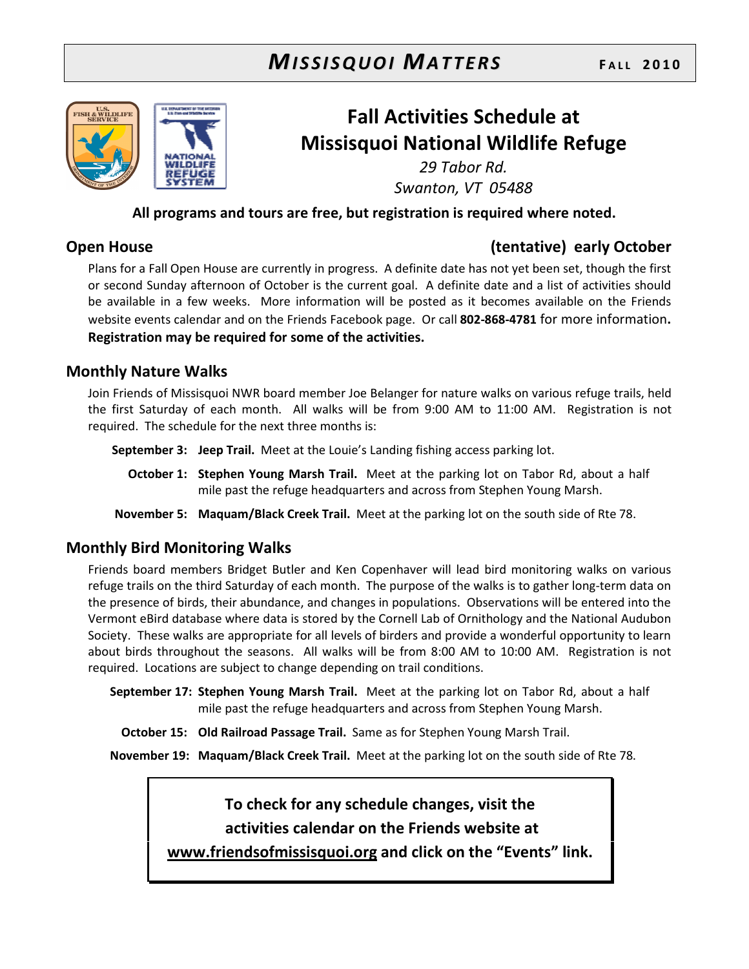## **MISSISQUOI MATTERS**



## **Fall Activities Schedule at Missisquoi National Wildlife Refuge**

29 Tabor Rd. Swanton, VT 05488

#### All programs and tours are free, but registration is required where noted.

#### **Open House**

#### (tentative) early October

Plans for a Fall Open House are currently in progress. A definite date has not yet been set, though the first or second Sunday afternoon of October is the current goal. A definite date and a list of activities should be available in a few weeks. More information will be posted as it becomes available on the Friends website events calendar and on the Friends Facebook page. Or call 802-868-4781 for more information. Registration may be required for some of the activities.

#### **Monthly Nature Walks**

Join Friends of Missisquoi NWR board member Joe Belanger for nature walks on various refuge trails, held the first Saturday of each month. All walks will be from 9:00 AM to 11:00 AM. Registration is not required. The schedule for the next three months is:

September 3: Jeep Trail. Meet at the Louie's Landing fishing access parking lot.

October 1: Stephen Young Marsh Trail. Meet at the parking lot on Tabor Rd, about a half mile past the refuge headquarters and across from Stephen Young Marsh.

November 5: Maquam/Black Creek Trail. Meet at the parking lot on the south side of Rte 78.

#### **Monthly Bird Monitoring Walks**

Friends board members Bridget Butler and Ken Copenhaver will lead bird monitoring walks on various refuge trails on the third Saturday of each month. The purpose of the walks is to gather long-term data on the presence of birds, their abundance, and changes in populations. Observations will be entered into the Vermont eBird database where data is stored by the Cornell Lab of Ornithology and the National Audubon Society. These walks are appropriate for all levels of birders and provide a wonderful opportunity to learn about birds throughout the seasons. All walks will be from 8:00 AM to 10:00 AM. Registration is not required. Locations are subject to change depending on trail conditions.

September 17: Stephen Young Marsh Trail. Meet at the parking lot on Tabor Rd, about a half mile past the refuge headquarters and across from Stephen Young Marsh.

October 15: Old Railroad Passage Trail. Same as for Stephen Young Marsh Trail.

November 19: Maguam/Black Creek Trail. Meet at the parking lot on the south side of Rte 78.

#### To check for any schedule changes, visit the

activities calendar on the Friends website at

www.friendsofmissisquoi.org and click on the "Events" link.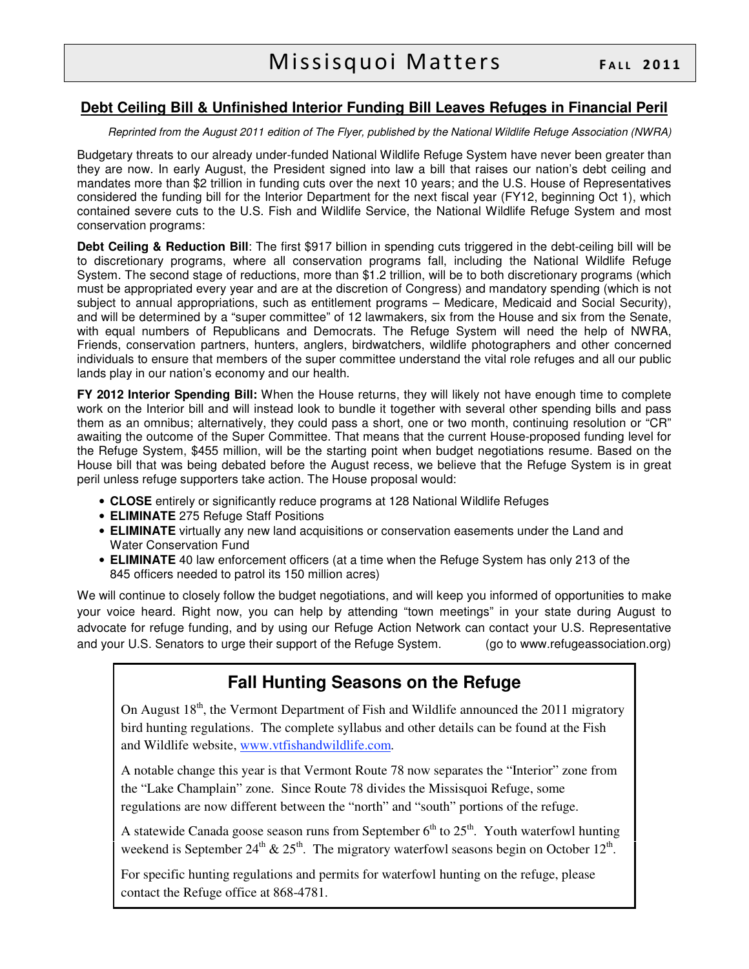#### **Debt Ceiling Bill & Unfinished Interior Funding Bill Leaves Refuges in Financial Peril**

#### Reprinted from the August 2011 edition of The Flyer, published by the National Wildlife Refuge Association (NWRA)

Budgetary threats to our already under-funded National Wildlife Refuge System have never been greater than they are now. In early August, the President signed into law a bill that raises our nation's debt ceiling and mandates more than \$2 trillion in funding cuts over the next 10 years; and the U.S. House of Representatives considered the funding bill for the Interior Department for the next fiscal year (FY12, beginning Oct 1), which contained severe cuts to the U.S. Fish and Wildlife Service, the National Wildlife Refuge System and most conservation programs:

**Debt Ceiling & Reduction Bill**: The first \$917 billion in spending cuts triggered in the debt-ceiling bill will be to discretionary programs, where all conservation programs fall, including the National Wildlife Refuge System. The second stage of reductions, more than \$1.2 trillion, will be to both discretionary programs (which must be appropriated every year and are at the discretion of Congress) and mandatory spending (which is not subject to annual appropriations, such as entitlement programs – Medicare, Medicaid and Social Security), and will be determined by a "super committee" of 12 lawmakers, six from the House and six from the Senate, with equal numbers of Republicans and Democrats. The Refuge System will need the help of NWRA, Friends, conservation partners, hunters, anglers, birdwatchers, wildlife photographers and other concerned individuals to ensure that members of the super committee understand the vital role refuges and all our public lands play in our nation's economy and our health.

**FY 2012 Interior Spending Bill:** When the House returns, they will likely not have enough time to complete work on the Interior bill and will instead look to bundle it together with several other spending bills and pass them as an omnibus; alternatively, they could pass a short, one or two month, continuing resolution or "CR" awaiting the outcome of the Super Committee. That means that the current House-proposed funding level for the Refuge System, \$455 million, will be the starting point when budget negotiations resume. Based on the House bill that was being debated before the August recess, we believe that the Refuge System is in great peril unless refuge supporters take action. The House proposal would:

- **CLOSE** entirely or significantly reduce programs at 128 National Wildlife Refuges
- **ELIMINATE** 275 Refuge Staff Positions
- **ELIMINATE** virtually any new land acquisitions or conservation easements under the Land and Water Conservation Fund
- **ELIMINATE** 40 law enforcement officers (at a time when the Refuge System has only 213 of the 845 officers needed to patrol its 150 million acres)

We will continue to closely follow the budget negotiations, and will keep you informed of opportunities to make your voice heard. Right now, you can help by attending "town meetings" in your state during August to advocate for refuge funding, and by using our Refuge Action Network can contact your U.S. Representative and your U.S. Senators to urge their support of the Refuge System. (go to www.refugeassociation.org)

#### **Fall Hunting Seasons on the Refuge**

On August  $18<sup>th</sup>$ , the Vermont Department of Fish and Wildlife announced the 2011 migratory bird hunting regulations. The complete syllabus and other details can be found at the Fish and Wildlife website, www.vtfishandwildlife.com.

A notable change this year is that Vermont Route 78 now separates the "Interior" zone from the "Lake Champlain" zone. Since Route 78 divides the Missisquoi Refuge, some regulations are now different between the "north" and "south" portions of the refuge.

A statewide Canada goose season runs from September  $6<sup>th</sup>$  to  $25<sup>th</sup>$ . Youth waterfowl hunting weekend is September 24<sup>th</sup> & 25<sup>th</sup>. The migratory waterfowl seasons begin on October 12<sup>th</sup>.

For specific hunting regulations and permits for waterfowl hunting on the refuge, please contact the Refuge office at 868-4781.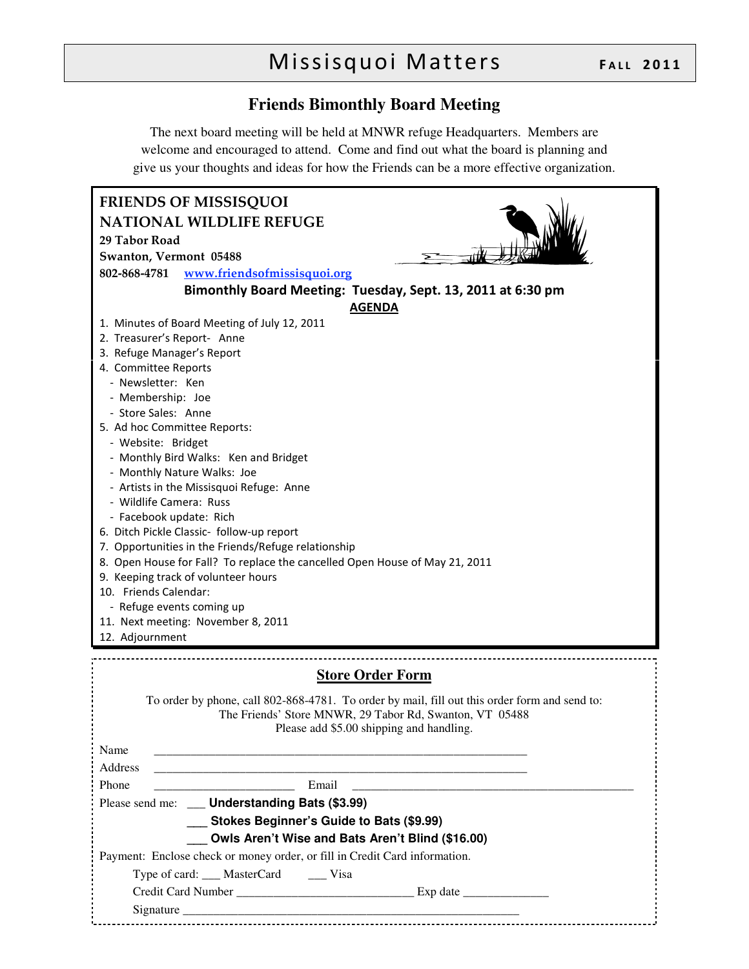## Missisquoi Matters FALL 2011

#### **Friends Bimonthly Board Meeting**

The next board meeting will be held at MNWR refuge Headquarters. Members are welcome and encouraged to attend. Come and find out what the board is planning and give us your thoughts and ideas for how the Friends can be a more effective organization.

| <b>FRIENDS OF MISSISQUOI</b>                                                                                                                                                                         |
|------------------------------------------------------------------------------------------------------------------------------------------------------------------------------------------------------|
| <b>NATIONAL WILDLIFE REFUGE</b>                                                                                                                                                                      |
| 29 Tabor Road                                                                                                                                                                                        |
| Swanton, Vermont 05488                                                                                                                                                                               |
| 802-868-4781<br>www.friendsofmissisquoi.org                                                                                                                                                          |
| Bimonthly Board Meeting: Tuesday, Sept. 13, 2011 at 6:30 pm<br><b>AGENDA</b>                                                                                                                         |
| 1. Minutes of Board Meeting of July 12, 2011                                                                                                                                                         |
| 2. Treasurer's Report- Anne                                                                                                                                                                          |
| 3. Refuge Manager's Report                                                                                                                                                                           |
| 4. Committee Reports                                                                                                                                                                                 |
| - Newsletter: Ken                                                                                                                                                                                    |
| - Membership: Joe                                                                                                                                                                                    |
| - Store Sales: Anne                                                                                                                                                                                  |
| 5. Ad hoc Committee Reports:<br>- Website: Bridget                                                                                                                                                   |
| - Monthly Bird Walks: Ken and Bridget                                                                                                                                                                |
| - Monthly Nature Walks: Joe                                                                                                                                                                          |
| - Artists in the Missisquoi Refuge: Anne                                                                                                                                                             |
| - Wildlife Camera: Russ                                                                                                                                                                              |
| - Facebook update: Rich                                                                                                                                                                              |
| 6. Ditch Pickle Classic- follow-up report                                                                                                                                                            |
| 7. Opportunities in the Friends/Refuge relationship                                                                                                                                                  |
| 8. Open House for Fall? To replace the cancelled Open House of May 21, 2011                                                                                                                          |
| 9. Keeping track of volunteer hours                                                                                                                                                                  |
| 10. Friends Calendar:                                                                                                                                                                                |
| - Refuge events coming up<br>11. Next meeting: November 8, 2011                                                                                                                                      |
| 12. Adjournment                                                                                                                                                                                      |
|                                                                                                                                                                                                      |
| <b>Store Order Form</b>                                                                                                                                                                              |
| To order by phone, call 802-868-4781. To order by mail, fill out this order form and send to:<br>The Friends' Store MNWR, 29 Tabor Rd, Swanton, VT 05488<br>Please add \$5.00 shipping and handling. |
| Name                                                                                                                                                                                                 |
| Address<br>the contract of the contract of the contract of the contract of                                                                                                                           |
| Email<br>Phone                                                                                                                                                                                       |
| Please send me: ___ Understanding Bats (\$3.99)                                                                                                                                                      |
| Stokes Beginner's Guide to Bats (\$9.99)                                                                                                                                                             |
| Owls Aren't Wise and Bats Aren't Blind (\$16.00)                                                                                                                                                     |
| Payment: Enclose check or money order, or fill in Credit Card information.                                                                                                                           |
| Type of card: ___ MasterCard ____ Visa                                                                                                                                                               |
|                                                                                                                                                                                                      |
|                                                                                                                                                                                                      |
|                                                                                                                                                                                                      |